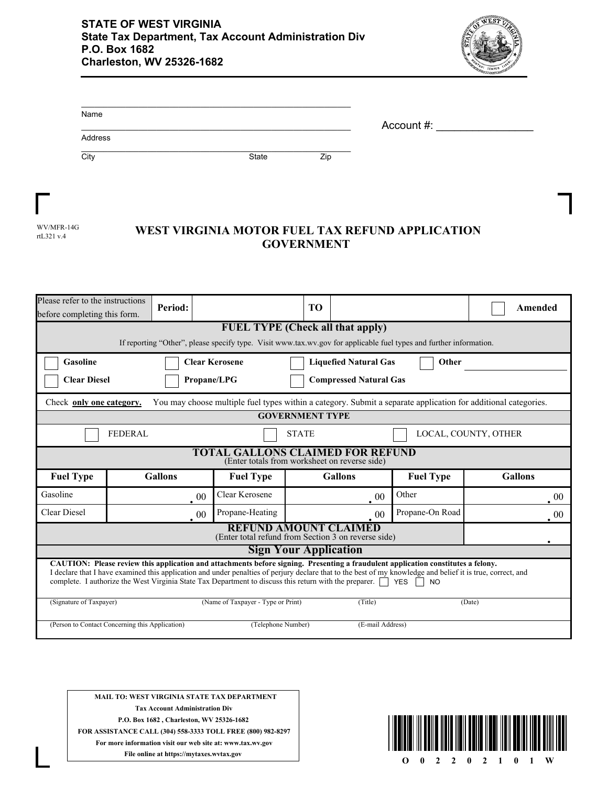

| Name    |              | Account #: |  |
|---------|--------------|------------|--|
| Address |              |            |  |
| City    | <b>State</b> | Zip        |  |

| WV/MFR-14G |
|------------|
| rtL321 v.4 |

## WEST VIRGINIA MOTOR FUEL TAX REFUND APPLICATION **GOVERNMENT**

| Please refer to the instructions<br>before completing this form.                                                                                                                                                                                                                                                                                                                                                                                 |                                                                | Period:        |        |                  | TO                     |                |                                                                                                                    |  | Amended        |
|--------------------------------------------------------------------------------------------------------------------------------------------------------------------------------------------------------------------------------------------------------------------------------------------------------------------------------------------------------------------------------------------------------------------------------------------------|----------------------------------------------------------------|----------------|--------|------------------|------------------------|----------------|--------------------------------------------------------------------------------------------------------------------|--|----------------|
|                                                                                                                                                                                                                                                                                                                                                                                                                                                  | <b>FUEL TYPE (Check all that apply)</b>                        |                |        |                  |                        |                |                                                                                                                    |  |                |
|                                                                                                                                                                                                                                                                                                                                                                                                                                                  |                                                                |                |        |                  |                        |                | If reporting "Other", please specify type. Visit www.tax.wv.gov for applicable fuel types and further information. |  |                |
| Gasoline                                                                                                                                                                                                                                                                                                                                                                                                                                         | <b>Clear Kerosene</b><br><b>Liquefied Natural Gas</b><br>Other |                |        |                  |                        |                |                                                                                                                    |  |                |
| <b>Clear Diesel</b><br>Propane/LPG<br><b>Compressed Natural Gas</b>                                                                                                                                                                                                                                                                                                                                                                              |                                                                |                |        |                  |                        |                |                                                                                                                    |  |                |
| You may choose multiple fuel types within a category. Submit a separate application for additional categories.<br>Check only one category.                                                                                                                                                                                                                                                                                                       |                                                                |                |        |                  |                        |                |                                                                                                                    |  |                |
|                                                                                                                                                                                                                                                                                                                                                                                                                                                  |                                                                |                |        |                  | <b>GOVERNMENT TYPE</b> |                |                                                                                                                    |  |                |
|                                                                                                                                                                                                                                                                                                                                                                                                                                                  | <b>FEDERAL</b><br>LOCAL, COUNTY, OTHER<br><b>STATE</b>         |                |        |                  |                        |                |                                                                                                                    |  |                |
| TOTAL GALLONS CLAIMED FOR REFUND<br>(Enter totals from worksheet on reverse side)                                                                                                                                                                                                                                                                                                                                                                |                                                                |                |        |                  |                        |                |                                                                                                                    |  |                |
| <b>Fuel Type</b>                                                                                                                                                                                                                                                                                                                                                                                                                                 |                                                                | <b>Gallons</b> |        | <b>Fuel Type</b> |                        | <b>Gallons</b> | <b>Fuel Type</b>                                                                                                   |  | <b>Gallons</b> |
| Gasoline                                                                                                                                                                                                                                                                                                                                                                                                                                         |                                                                |                | $00\,$ | Clear Kerosene   |                        | 00             | Other                                                                                                              |  | 00             |
| <b>Clear Diesel</b>                                                                                                                                                                                                                                                                                                                                                                                                                              |                                                                |                | 00     | Propane-Heating  |                        | 00             | Propane-On Road                                                                                                    |  | 00             |
| <b>REFUND AMOUNT CLAIMED</b><br>(Enter total refund from Section 3 on reverse side)                                                                                                                                                                                                                                                                                                                                                              |                                                                |                |        |                  |                        |                |                                                                                                                    |  |                |
| <b>Sign Your Application</b>                                                                                                                                                                                                                                                                                                                                                                                                                     |                                                                |                |        |                  |                        |                |                                                                                                                    |  |                |
| CAUTION: Please review this application and attachments before signing. Presenting a fraudulent application constitutes a felony.<br>I declare that I have examined this application and under penalties of perjury declare that to the best of my knowledge and belief it is true, correct, and<br>complete. I authorize the West Virginia State Tax Department to discuss this return with the preparer.<br>YES<br><b>NO</b><br>$\blacksquare$ |                                                                |                |        |                  |                        |                |                                                                                                                    |  |                |
| (Name of Taxpayer - Type or Print)<br>(Signature of Taxpayer)<br>(Title)<br>(Date)                                                                                                                                                                                                                                                                                                                                                               |                                                                |                |        |                  |                        |                |                                                                                                                    |  |                |
| (Person to Contact Concerning this Application)<br>(Telephone Number)<br>(E-mail Address)                                                                                                                                                                                                                                                                                                                                                        |                                                                |                |        |                  |                        |                |                                                                                                                    |  |                |

**MAIL TO: WEST VIRGINIA STATE TAX DEPARTMENT Tax Account Administration Div P.O. Box 1682 , Charleston, WV 25326-1682 FOR ASSISTANCE CALL (304) 558-3333 TOLL FREE (800) 982-8297 For more information visit our web site at: www.tax.wv.gov File online at https://mytaxes.wvtax.gov**